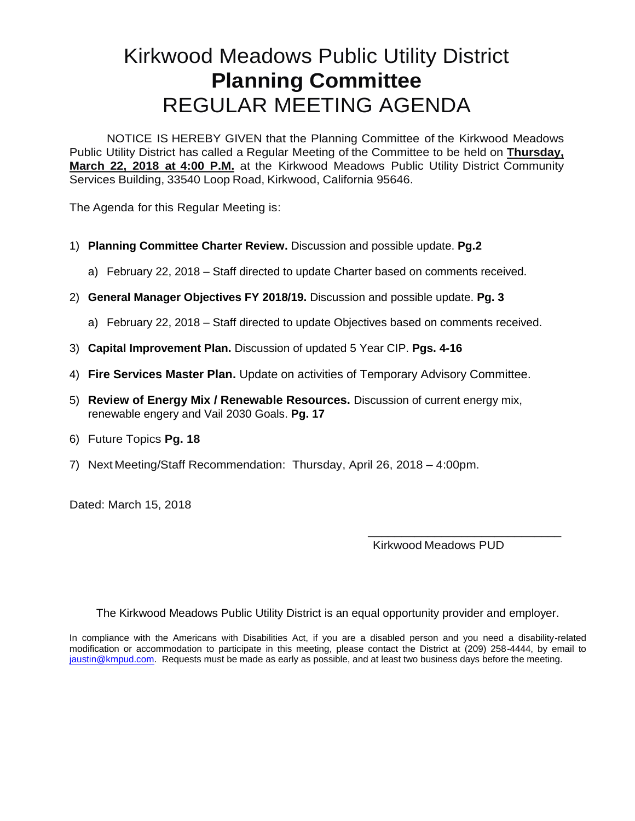## Kirkwood Meadows Public Utility District **Planning Committee** REGULAR MEETING AGENDA

NOTICE IS HEREBY GIVEN that the Planning Committee of the Kirkwood Meadows Public Utility District has called a Regular Meeting of the Committee to be held on **Thursday, March 22, 2018 at 4:00 P.M.** at the Kirkwood Meadows Public Utility District Community Services Building, 33540 Loop Road, Kirkwood, California 95646.

The Agenda for this Regular Meeting is:

- 1) **Planning Committee Charter Review.** Discussion and possible update. **Pg.2**
	- a) February 22, 2018 Staff directed to update Charter based on comments received.
- 2) **General Manager Objectives FY 2018/19.** Discussion and possible update. **Pg. 3**
	- a) February 22, 2018 Staff directed to update Objectives based on comments received.
- 3) **Capital Improvement Plan.** Discussion of updated 5 Year CIP. **Pgs. 4-16**
- 4) **Fire Services Master Plan.** Update on activities of Temporary Advisory Committee.
- 5) **Review of Energy Mix / Renewable Resources.** Discussion of current energy mix, renewable engery and Vail 2030 Goals. **Pg. 17**
- 6) Future Topics **Pg. 18**
- 7) Next Meeting/Staff Recommendation: Thursday, April 26, 2018 4:00pm.

Dated: March 15, 2018

Kirkwood Meadows PUD

\_\_\_\_\_\_\_\_\_\_\_\_\_\_\_\_\_\_\_\_\_\_\_\_\_\_\_\_\_

The Kirkwood Meadows Public Utility District is an equal opportunity provider and employer.

In compliance with the Americans with Disabilities Act, if you are a disabled person and you need a disability-related modification or accommodation to participate in this meeting, please contact the District at (209) 258-4444, by email to jaustin@kmpud.com. Requests must be made as early as possible, and at least two business days before the meeting.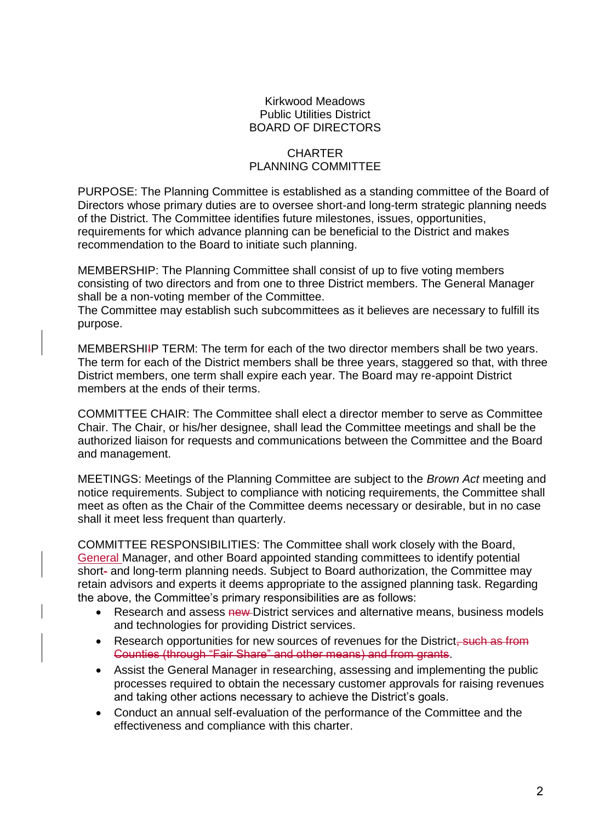#### Kirkwood Meadows Public Utilities District BOARD OF DIRECTORS

#### **CHARTER** PLANNING COMMITTEE

PURPOSE: The Planning Committee is established as a standing committee of the Board of Directors whose primary duties are to oversee short-and long-term strategic planning needs of the District. The Committee identifies future milestones, issues, opportunities, requirements for which advance planning can be beneficial to the District and makes recommendation to the Board to initiate such planning.

MEMBERSHIP: The Planning Committee shall consist of up to five voting members consisting of two directors and from one to three District members. The General Manager shall be a non-voting member of the Committee.

The Committee may establish such subcommittees as it believes are necessary to fulfill its purpose.

MEMBERSHIIP TERM: The term for each of the two director members shall be two years. The term for each of the District members shall be three years, staggered so that, with three District members, one term shall expire each year. The Board may re-appoint District members at the ends of their terms.

COMMITTEE CHAIR: The Committee shall elect a director member to serve as Committee Chair. The Chair, or his/her designee, shall lead the Committee meetings and shall be the authorized liaison for requests and communications between the Committee and the Board and management.

MEETINGS: Meetings of the Planning Committee are subject to the *Brown Act* meeting and notice requirements. Subject to compliance with noticing requirements, the Committee shall meet as often as the Chair of the Committee deems necessary or desirable, but in no case shall it meet less frequent than quarterly.

COMMITTEE RESPONSIBILITIES: The Committee shall work closely with the Board, General Manager, and other Board appointed standing committees to identify potential short- and long-term planning needs. Subject to Board authorization, the Committee may retain advisors and experts it deems appropriate to the assigned planning task. Regarding the above, the Committee's primary responsibilities are as follows:

- Research and assess new District services and alternative means, business models and technologies for providing District services.
- Research opportunities for new sources of revenues for the District, such as from Counties (through "Fair Share" and other means) and from grants.
- Assist the General Manager in researching, assessing and implementing the public processes required to obtain the necessary customer approvals for raising revenues and taking other actions necessary to achieve the District's goals.
- Conduct an annual self-evaluation of the performance of the Committee and the effectiveness and compliance with this charter.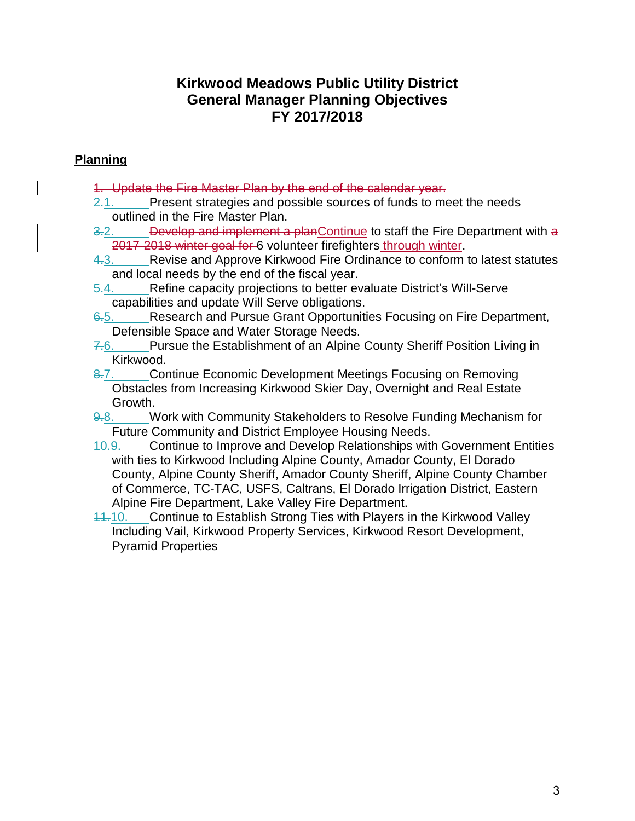### **Kirkwood Meadows Public Utility District General Manager Planning Objectives FY 2017/2018**

### **Planning**

- 1. Update the Fire Master Plan by the end of the calendar year.
- 2.1. Present strategies and possible sources of funds to meet the needs outlined in the Fire Master Plan.
- 3.2. Develop and implement a planContinue to staff the Fire Department with a 2017-2018 winter goal for 6 volunteer firefighters through winter.
- 4.3. Revise and Approve Kirkwood Fire Ordinance to conform to latest statutes and local needs by the end of the fiscal year.
- 5.4. Refine capacity projections to better evaluate District's Will-Serve capabilities and update Will Serve obligations.
- 6.5. Research and Pursue Grant Opportunities Focusing on Fire Department, Defensible Space and Water Storage Needs.
- 7.6. Pursue the Establishment of an Alpine County Sheriff Position Living in Kirkwood.
- 8.7. Continue Economic Development Meetings Focusing on Removing Obstacles from Increasing Kirkwood Skier Day, Overnight and Real Estate Growth.
- 9.8. Work with Community Stakeholders to Resolve Funding Mechanism for Future Community and District Employee Housing Needs.
- 10.9. Continue to Improve and Develop Relationships with Government Entities with ties to Kirkwood Including Alpine County, Amador County, El Dorado County, Alpine County Sheriff, Amador County Sheriff, Alpine County Chamber of Commerce, TC-TAC, USFS, Caltrans, El Dorado Irrigation District, Eastern Alpine Fire Department, Lake Valley Fire Department.
- 11.10. Continue to Establish Strong Ties with Players in the Kirkwood Valley Including Vail, Kirkwood Property Services, Kirkwood Resort Development, Pyramid Properties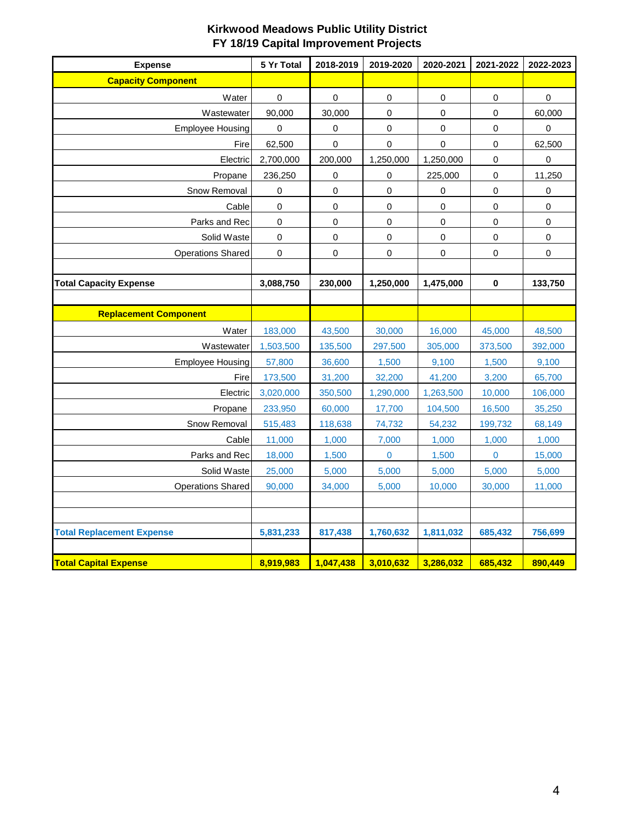| <b>Expense</b>                   | 5 Yr Total | 2018-2019 | 2019-2020   | 2020-2021   | 2021-2022   | 2022-2023   |
|----------------------------------|------------|-----------|-------------|-------------|-------------|-------------|
| <b>Capacity Component</b>        |            |           |             |             |             |             |
| Water                            | 0          | 0         | 0           | $\mathbf 0$ | $\pmb{0}$   | $\mathsf 0$ |
| Wastewater                       | 90,000     | 30,000    | 0           | $\mathbf 0$ | $\mathbf 0$ | 60,000      |
| <b>Employee Housing</b>          | $\pmb{0}$  | $\pmb{0}$ | $\mathsf 0$ | $\mathbf 0$ | $\pmb{0}$   | $\mathbf 0$ |
| Fire                             | 62,500     | 0         | 0           | 0           | $\pmb{0}$   | 62,500      |
| Electric                         | 2,700,000  | 200,000   | 1,250,000   | 1,250,000   | 0           | 0           |
| Propane                          | 236,250    | 0         | 0           | 225,000     | $\pmb{0}$   | 11,250      |
| Snow Removal                     | 0          | 0         | 0           | 0           | $\pmb{0}$   | $\pmb{0}$   |
| Cable                            | 0          | 0         | 0           | $\mathbf 0$ | $\mathbf 0$ | $\mathsf 0$ |
| Parks and Rec                    | $\pmb{0}$  | $\pmb{0}$ | 0           | 0           | $\pmb{0}$   | $\pmb{0}$   |
| Solid Waste                      | $\pmb{0}$  | $\pmb{0}$ | 0           | $\pmb{0}$   | $\pmb{0}$   | $\mathbf 0$ |
| <b>Operations Shared</b>         | $\pmb{0}$  | $\pmb{0}$ | $\mathsf 0$ | 0           | $\pmb{0}$   | $\mathsf 0$ |
|                                  |            |           |             |             |             |             |
| <b>Total Capacity Expense</b>    | 3,088,750  | 230,000   | 1,250,000   | 1,475,000   | $\pmb{0}$   | 133,750     |
|                                  |            |           |             |             |             |             |
| <b>Replacement Component</b>     |            |           |             |             |             |             |
| Water                            | 183,000    | 43,500    | 30,000      | 16,000      | 45,000      | 48,500      |
| Wastewater                       | 1,503,500  | 135,500   | 297,500     | 305,000     | 373,500     | 392,000     |
| <b>Employee Housing</b>          | 57,800     | 36,600    | 1,500       | 9,100       | 1,500       | 9,100       |
| Fire                             | 173,500    | 31,200    | 32,200      | 41,200      | 3,200       | 65,700      |
| Electric                         | 3,020,000  | 350,500   | 1,290,000   | 1,263,500   | 10,000      | 106,000     |
| Propane                          | 233,950    | 60,000    | 17,700      | 104,500     | 16,500      | 35,250      |
| Snow Removal                     | 515,483    | 118,638   | 74,732      | 54,232      | 199,732     | 68,149      |
| Cable                            | 11,000     | 1,000     | 7,000       | 1,000       | 1,000       | 1,000       |
| Parks and Rec                    | 18,000     | 1,500     | 0           | 1,500       | $\pmb{0}$   | 15,000      |
| Solid Waste                      | 25,000     | 5,000     | 5,000       | 5,000       | 5,000       | 5,000       |
| <b>Operations Shared</b>         | 90,000     | 34,000    | 5,000       | 10,000      | 30,000      | 11,000      |
|                                  |            |           |             |             |             |             |
|                                  |            |           |             |             |             |             |
| <b>Total Replacement Expense</b> | 5,831,233  | 817,438   | 1,760,632   | 1,811,032   | 685,432     | 756,699     |
|                                  |            |           |             |             |             |             |
| <b>Total Capital Expense</b>     | 8,919,983  | 1,047,438 | 3,010,632   | 3,286,032   | 685,432     | 890,449     |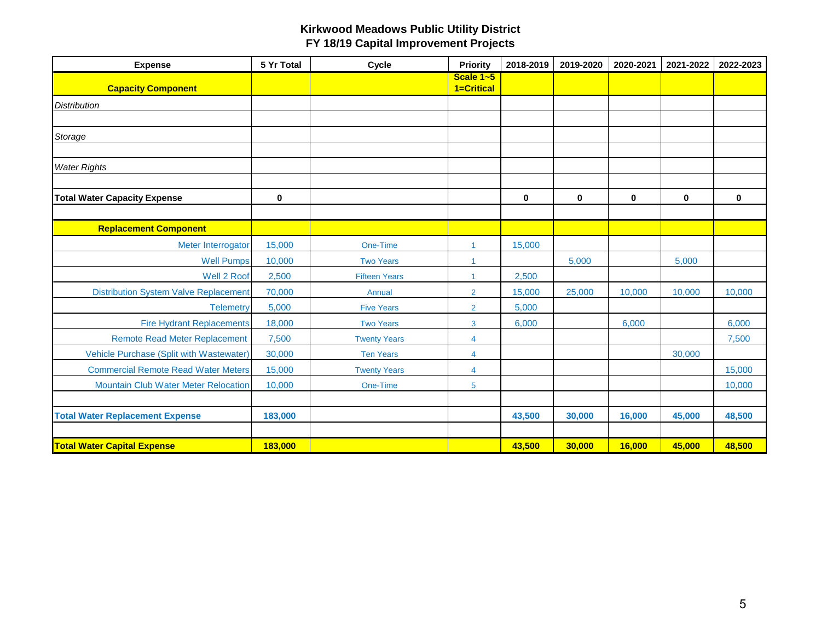| <b>Expense</b>                               | 5 Yr Total | Cycle                | <b>Priority</b>         | 2018-2019 | 2019-2020 | 2020-2021   | 2021-2022 | 2022-2023   |
|----------------------------------------------|------------|----------------------|-------------------------|-----------|-----------|-------------|-----------|-------------|
| <b>Capacity Component</b>                    |            |                      | Scale 1~5<br>1=Critical |           |           |             |           |             |
| <b>Distribution</b>                          |            |                      |                         |           |           |             |           |             |
|                                              |            |                      |                         |           |           |             |           |             |
| Storage                                      |            |                      |                         |           |           |             |           |             |
|                                              |            |                      |                         |           |           |             |           |             |
| <b>Water Rights</b>                          |            |                      |                         |           |           |             |           |             |
|                                              |            |                      |                         |           |           |             |           |             |
| <b>Total Water Capacity Expense</b>          | 0          |                      |                         | $\bf{0}$  | $\bf{0}$  | $\mathbf 0$ | 0         | $\mathbf 0$ |
|                                              |            |                      |                         |           |           |             |           |             |
| <b>Replacement Component</b>                 |            |                      |                         |           |           |             |           |             |
| Meter Interrogator                           | 15,000     | One-Time             | $\mathbf{1}$            | 15,000    |           |             |           |             |
| <b>Well Pumps</b>                            | 10,000     | <b>Two Years</b>     | 1                       |           | 5,000     |             | 5,000     |             |
| Well 2 Roof                                  | 2,500      | <b>Fifteen Years</b> | $\mathbf{1}$            | 2,500     |           |             |           |             |
| <b>Distribution System Valve Replacement</b> | 70,000     | Annual               | $\overline{2}$          | 15,000    | 25,000    | 10,000      | 10,000    | 10,000      |
| <b>Telemetry</b>                             | 5,000      | <b>Five Years</b>    | $\overline{2}$          | 5,000     |           |             |           |             |
| <b>Fire Hydrant Replacements</b>             | 18,000     | <b>Two Years</b>     | 3                       | 6,000     |           | 6,000       |           | 6,000       |
| <b>Remote Read Meter Replacement</b>         | 7,500      | <b>Twenty Years</b>  | 4                       |           |           |             |           | 7,500       |
| Vehicle Purchase (Split with Wastewater)     | 30,000     | <b>Ten Years</b>     | $\overline{4}$          |           |           |             | 30,000    |             |
| <b>Commercial Remote Read Water Meters</b>   | 15,000     | <b>Twenty Years</b>  | $\overline{4}$          |           |           |             |           | 15,000      |
| <b>Mountain Club Water Meter Relocation</b>  | 10,000     | One-Time             | 5                       |           |           |             |           | 10,000      |
|                                              |            |                      |                         |           |           |             |           |             |
| <b>Total Water Replacement Expense</b>       | 183,000    |                      |                         | 43,500    | 30,000    | 16,000      | 45,000    | 48,500      |
|                                              |            |                      |                         |           |           |             |           |             |
| <b>Total Water Capital Expense</b>           | 183,000    |                      |                         | 43,500    | 30,000    | 16,000      | 45,000    | 48,500      |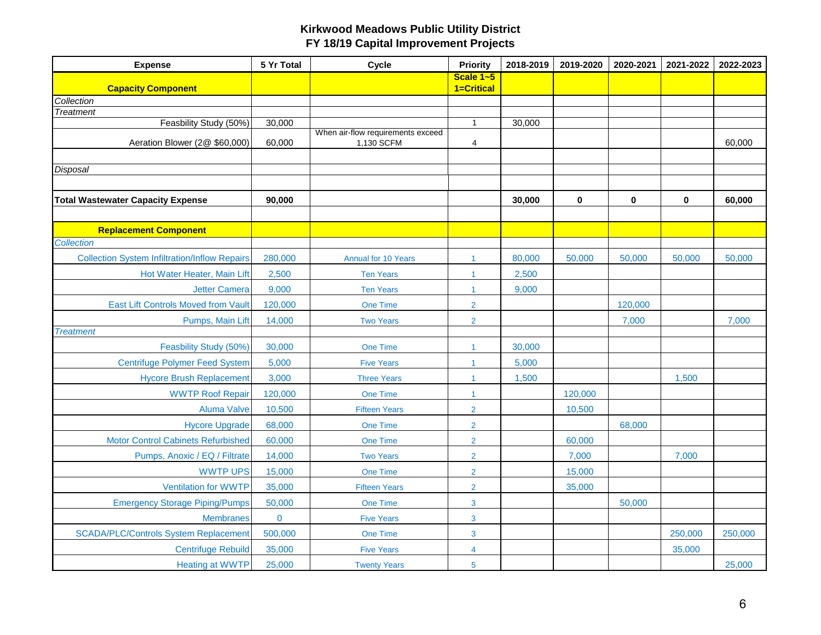| <b>Expense</b>                                       | 5 Yr Total | Cycle                                           | <b>Priority</b>         | 2018-2019 | 2019-2020 | 2020-2021 | 2021-2022 | 2022-2023 |
|------------------------------------------------------|------------|-------------------------------------------------|-------------------------|-----------|-----------|-----------|-----------|-----------|
| <b>Capacity Component</b>                            |            |                                                 | Scale 1~5<br>1=Critical |           |           |           |           |           |
| Collection                                           |            |                                                 |                         |           |           |           |           |           |
| <b>Treatment</b>                                     |            |                                                 |                         |           |           |           |           |           |
| Feasbility Study (50%)                               | 30,000     |                                                 | $\mathbf{1}$            | 30,000    |           |           |           |           |
| Aeration Blower (2@ \$60,000)                        | 60,000     | When air-flow requirements exceed<br>1,130 SCFM | $\overline{4}$          |           |           |           |           | 60,000    |
|                                                      |            |                                                 |                         |           |           |           |           |           |
| Disposal                                             |            |                                                 |                         |           |           |           |           |           |
|                                                      |            |                                                 |                         |           |           |           |           |           |
| <b>Total Wastewater Capacity Expense</b>             | 90,000     |                                                 |                         | 30,000    | 0         | 0         | $\bf{0}$  | 60,000    |
|                                                      |            |                                                 |                         |           |           |           |           |           |
| <b>Replacement Component</b>                         |            |                                                 |                         |           |           |           |           |           |
| Collection                                           |            |                                                 |                         |           |           |           |           |           |
| <b>Collection System Infiltration/Inflow Repairs</b> | 280,000    | <b>Annual for 10 Years</b>                      | $\mathbf{1}$            | 80,000    | 50,000    | 50,000    | 50,000    | 50,000    |
| Hot Water Heater, Main Lift                          | 2,500      | <b>Ten Years</b>                                | $\mathbf{1}$            | 2,500     |           |           |           |           |
| <b>Jetter Camera</b>                                 | 9,000      | <b>Ten Years</b>                                | $\mathbf{1}$            | 9,000     |           |           |           |           |
| East Lift Controls Moved from Vault                  | 120,000    | One Time                                        | $\overline{2}$          |           |           | 120,000   |           |           |
| Pumps, Main Lift                                     | 14,000     | <b>Two Years</b>                                | $\overline{2}$          |           |           | 7,000     |           | 7,000     |
| <b>Treatment</b>                                     |            |                                                 |                         |           |           |           |           |           |
| Feasbility Study (50%)                               | 30,000     | One Time                                        | $\mathbf{1}$            | 30,000    |           |           |           |           |
| <b>Centrifuge Polymer Feed System</b>                | 5,000      | <b>Five Years</b>                               | $\mathbf{1}$            | 5,000     |           |           |           |           |
| <b>Hycore Brush Replacement</b>                      | 3,000      | <b>Three Years</b>                              | $\mathbf{1}$            | 1,500     |           |           | 1,500     |           |
| <b>WWTP Roof Repair</b>                              | 120,000    | One Time                                        | $\mathbf{1}$            |           | 120,000   |           |           |           |
| <b>Aluma Valve</b>                                   | 10,500     | <b>Fifteen Years</b>                            | $\overline{2}$          |           | 10,500    |           |           |           |
| <b>Hycore Upgrade</b>                                | 68,000     | One Time                                        | $\overline{2}$          |           |           | 68,000    |           |           |
| <b>Motor Control Cabinets Refurbished</b>            | 60,000     | One Time                                        | $\overline{2}$          |           | 60,000    |           |           |           |
| Pumps, Anoxic / EQ / Filtrate                        | 14,000     | <b>Two Years</b>                                | $\overline{2}$          |           | 7,000     |           | 7,000     |           |
| <b>WWTP UPS</b>                                      | 15,000     | One Time                                        | $\overline{2}$          |           | 15,000    |           |           |           |
| <b>Ventilation for WWTP</b>                          | 35,000     | <b>Fifteen Years</b>                            | $\overline{2}$          |           | 35,000    |           |           |           |
| <b>Emergency Storage Piping/Pumps</b>                | 50,000     | <b>One Time</b>                                 | $\mathbf{3}$            |           |           | 50,000    |           |           |
| <b>Membranes</b>                                     | $\bf{0}$   | <b>Five Years</b>                               | 3                       |           |           |           |           |           |
| <b>SCADA/PLC/Controls System Replacement</b>         | 500,000    | One Time                                        | 3                       |           |           |           | 250,000   | 250,000   |
| <b>Centrifuge Rebuild</b>                            | 35,000     | <b>Five Years</b>                               | 4                       |           |           |           | 35,000    |           |
| <b>Heating at WWTP</b>                               | 25,000     | <b>Twenty Years</b>                             | $5\phantom{.0}$         |           |           |           |           | 25,000    |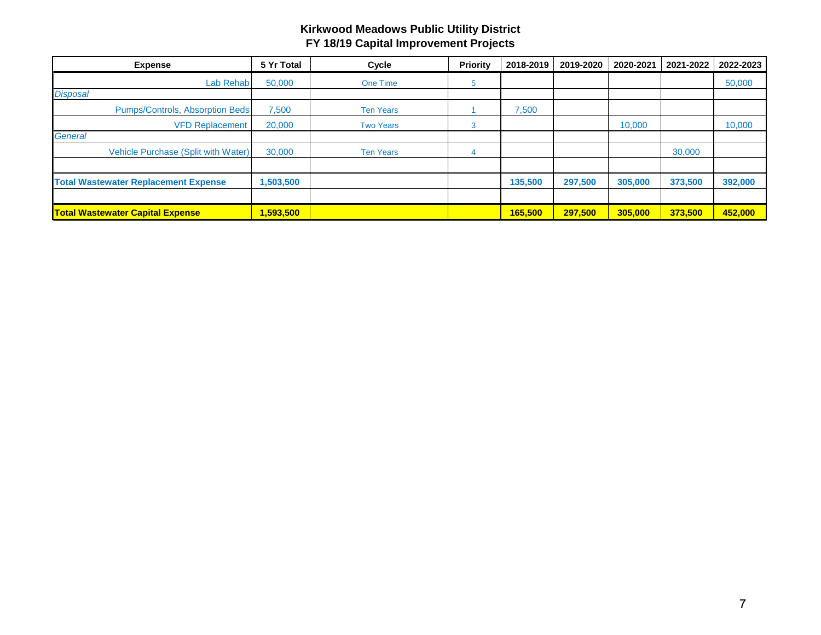| <b>Expense</b>                              | 5 Yr Total | Cycle            | <b>Priority</b> | 2018-2019 | 2019-2020 | 2020-2021 | 2021-2022 | 2022-2023 |
|---------------------------------------------|------------|------------------|-----------------|-----------|-----------|-----------|-----------|-----------|
| Lab Rehab                                   | 50,000     | <b>One Time</b>  | đ               |           |           |           |           | 50,000    |
| <b>Disposal</b>                             |            |                  |                 |           |           |           |           |           |
| Pumps/Controls, Absorption Beds             | 7,500      | <b>Ten Years</b> |                 | 7,500     |           |           |           |           |
| <b>VFD Replacement</b>                      | 20,000     | <b>Two Years</b> | 3               |           |           | 10,000    |           | 10,000    |
| <b>General</b>                              |            |                  |                 |           |           |           |           |           |
| Vehicle Purchase (Split with Water)         | 30,000     | <b>Ten Years</b> |                 |           |           |           | 30,000    |           |
|                                             |            |                  |                 |           |           |           |           |           |
| <b>Total Wastewater Replacement Expense</b> | 1,503,500  |                  |                 | 135,500   | 297,500   | 305,000   | 373,500   | 392,000   |
|                                             |            |                  |                 |           |           |           |           |           |
| <b>Total Wastewater Capital Expense</b>     | 1,593,500  |                  |                 | 165,500   | 297.500   | 305,000   | 373.500   | 452,000   |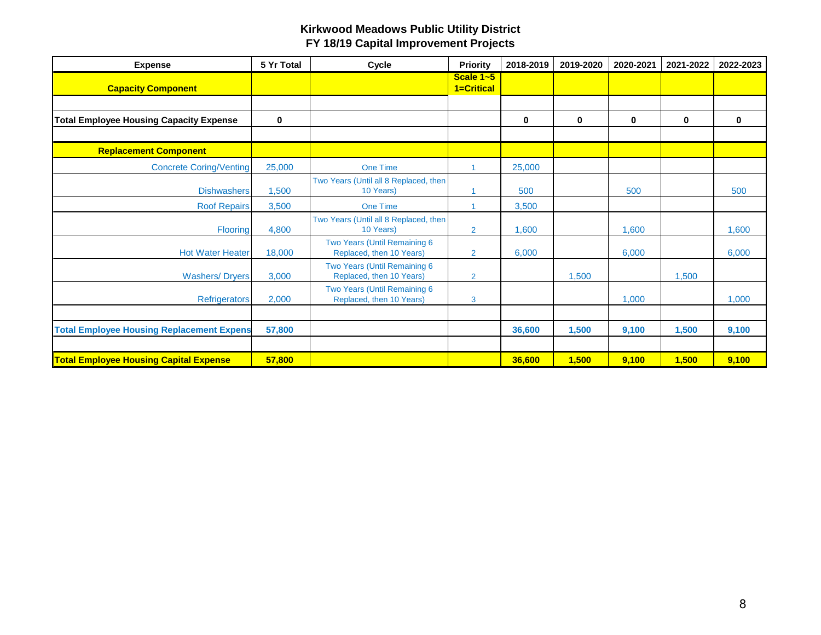| <b>Expense</b>                                   | 5 Yr Total  | <b>Cycle</b>                                             | <b>Priority</b>             | 2018-2019 | 2019-2020   | 2020-2021   | 2021-2022   | 2022-2023   |
|--------------------------------------------------|-------------|----------------------------------------------------------|-----------------------------|-----------|-------------|-------------|-------------|-------------|
| <b>Capacity Component</b>                        |             |                                                          | Scale $1 - 5$<br>1=Critical |           |             |             |             |             |
|                                                  |             |                                                          |                             |           |             |             |             |             |
| <b>Total Employee Housing Capacity Expense</b>   | $\mathbf 0$ |                                                          |                             | 0         | $\mathbf 0$ | $\mathbf 0$ | $\mathbf 0$ | $\mathbf 0$ |
|                                                  |             |                                                          |                             |           |             |             |             |             |
| <b>Replacement Component</b>                     |             |                                                          |                             |           |             |             |             |             |
| <b>Concrete Coring/Venting</b>                   | 25,000      | <b>One Time</b>                                          |                             | 25,000    |             |             |             |             |
| <b>Dishwashers</b>                               | 1,500       | Two Years (Until all 8 Replaced, then<br>10 Years)       |                             | 500       |             | 500         |             | 500         |
| <b>Roof Repairs</b>                              | 3,500       | <b>One Time</b>                                          |                             | 3,500     |             |             |             |             |
| <b>Flooring</b>                                  | 4,800       | Two Years (Until all 8 Replaced, then<br>10 Years)       | $\overline{2}$              | 1,600     |             | 1,600       |             | 1,600       |
| <b>Hot Water Heater</b>                          | 18,000      | Two Years (Until Remaining 6<br>Replaced, then 10 Years) | $\overline{2}$              | 6,000     |             | 6,000       |             | 6,000       |
| <b>Washers/Dryers</b>                            | 3,000       | Two Years (Until Remaining 6<br>Replaced, then 10 Years) | $\overline{2}$              |           | 1,500       |             | 1,500       |             |
| Refrigerators                                    | 2,000       | Two Years (Until Remaining 6<br>Replaced, then 10 Years) | 3                           |           |             | 1,000       |             | 1,000       |
|                                                  |             |                                                          |                             |           |             |             |             |             |
| <b>Total Employee Housing Replacement Expens</b> | 57,800      |                                                          |                             | 36,600    | 1,500       | 9,100       | 1,500       | 9,100       |
|                                                  |             |                                                          |                             |           |             |             |             |             |
| <b>Total Employee Housing Capital Expense</b>    | 57,800      |                                                          |                             | 36,600    | 1,500       | 9,100       | 1,500       | 9,100       |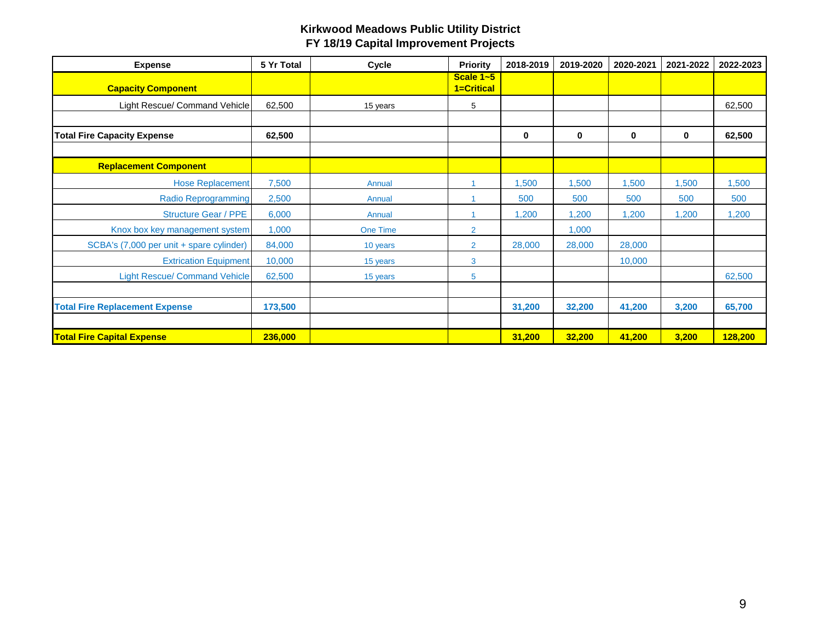| <b>Expense</b>                           | 5 Yr Total | Cycle           | <b>Priority</b>         | 2018-2019 | 2019-2020 | 2020-2021 | 2021-2022 | 2022-2023 |
|------------------------------------------|------------|-----------------|-------------------------|-----------|-----------|-----------|-----------|-----------|
| <b>Capacity Component</b>                |            |                 | Scale 1~5<br>1=Critical |           |           |           |           |           |
| Light Rescue/ Command Vehicle            | 62,500     | 15 years        | 5                       |           |           |           |           | 62,500    |
|                                          |            |                 |                         |           |           |           |           |           |
| <b>Total Fire Capacity Expense</b>       | 62,500     |                 |                         | 0         | 0         | $\bf{0}$  | 0         | 62,500    |
|                                          |            |                 |                         |           |           |           |           |           |
| <b>Replacement Component</b>             |            |                 |                         |           |           |           |           |           |
| <b>Hose Replacement</b>                  | 7,500      | Annual          |                         | 1,500     | 1,500     | 1,500     | 1,500     | 1,500     |
| <b>Radio Reprogramming</b>               | 2,500      | Annual          |                         | 500       | 500       | 500       | 500       | 500       |
| <b>Structure Gear / PPE</b>              | 6,000      | Annual          |                         | 1,200     | 1,200     | 1,200     | 1,200     | 1,200     |
| Knox box key management system           | 1,000      | <b>One Time</b> | $\overline{2}$          |           | 1,000     |           |           |           |
| SCBA's (7,000 per unit + spare cylinder) | 84,000     | 10 years        | $\overline{2}$          | 28,000    | 28,000    | 28,000    |           |           |
| <b>Extrication Equipment</b>             | 10,000     | 15 years        | 3                       |           |           | 10,000    |           |           |
| <b>Light Rescue/ Command Vehicle</b>     | 62,500     | 15 years        | 5                       |           |           |           |           | 62,500    |
|                                          |            |                 |                         |           |           |           |           |           |
| <b>Total Fire Replacement Expense</b>    | 173,500    |                 |                         | 31,200    | 32,200    | 41,200    | 3,200     | 65,700    |
|                                          |            |                 |                         |           |           |           |           |           |
| <b>Total Fire Capital Expense</b>        | 236,000    |                 |                         | 31,200    | 32,200    | 41,200    | 3,200     | 128,200   |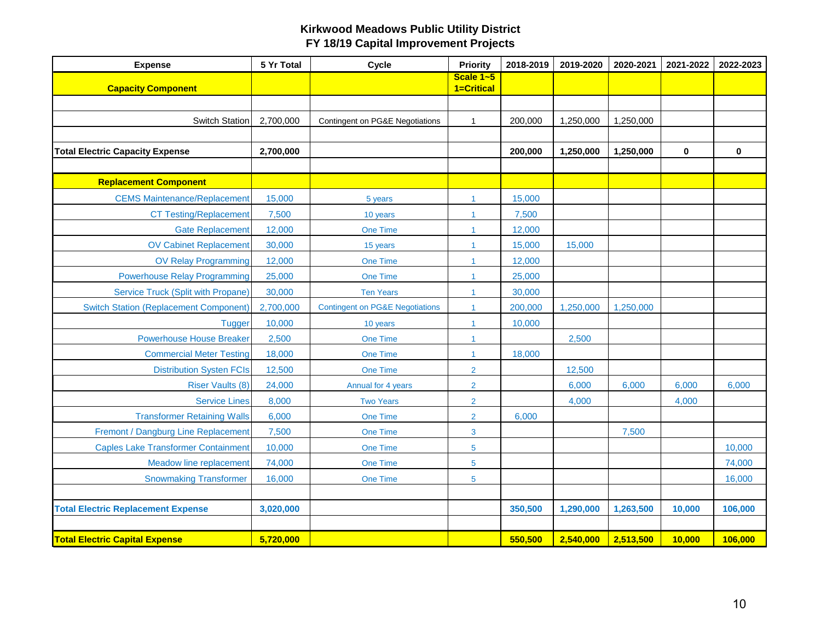| <b>Expense</b>                                | 5 Yr Total | Cycle                                      | Priority                | 2018-2019 | 2019-2020 | 2020-2021 | 2021-2022 | 2022-2023   |
|-----------------------------------------------|------------|--------------------------------------------|-------------------------|-----------|-----------|-----------|-----------|-------------|
| <b>Capacity Component</b>                     |            |                                            | Scale 1~5<br>1=Critical |           |           |           |           |             |
|                                               |            |                                            |                         |           |           |           |           |             |
| <b>Switch Station</b>                         | 2,700,000  | Contingent on PG&E Negotiations            | $\mathbf{1}$            | 200,000   | 1,250,000 | 1,250,000 |           |             |
|                                               |            |                                            |                         |           |           |           |           |             |
| <b>Total Electric Capacity Expense</b>        | 2,700,000  |                                            |                         | 200,000   | 1,250,000 | 1,250,000 | 0         | $\mathbf 0$ |
|                                               |            |                                            |                         |           |           |           |           |             |
| <b>Replacement Component</b>                  |            |                                            |                         |           |           |           |           |             |
| <b>CEMS Maintenance/Replacement</b>           | 15,000     | 5 years                                    | 1                       | 15,000    |           |           |           |             |
| <b>CT Testing/Replacement</b>                 | 7,500      | 10 years                                   | 1                       | 7,500     |           |           |           |             |
| <b>Gate Replacement</b>                       | 12,000     | One Time                                   | 1                       | 12,000    |           |           |           |             |
| <b>OV Cabinet Replacement</b>                 | 30,000     | 15 years                                   | $\mathbf{1}$            | 15,000    | 15,000    |           |           |             |
| <b>OV Relay Programming</b>                   | 12,000     | One Time                                   | 1                       | 12,000    |           |           |           |             |
| <b>Powerhouse Relay Programming</b>           | 25,000     | One Time                                   | 1                       | 25,000    |           |           |           |             |
| <b>Service Truck (Split with Propane)</b>     | 30,000     | <b>Ten Years</b>                           | $\mathbf{1}$            | 30,000    |           |           |           |             |
| <b>Switch Station (Replacement Component)</b> | 2,700,000  | <b>Contingent on PG&amp;E Negotiations</b> | 1                       | 200,000   | 1,250,000 | 1,250,000 |           |             |
| <b>Tugger</b>                                 | 10,000     | 10 years                                   | 1                       | 10,000    |           |           |           |             |
| <b>Powerhouse House Breaker</b>               | 2,500      | One Time                                   | $\mathbf{1}$            |           | 2,500     |           |           |             |
| <b>Commercial Meter Testing</b>               | 18,000     | <b>One Time</b>                            | $\mathbf{1}$            | 18,000    |           |           |           |             |
| <b>Distribution Systen FCIs</b>               | 12,500     | <b>One Time</b>                            | $\overline{2}$          |           | 12,500    |           |           |             |
| <b>Riser Vaults (8)</b>                       | 24,000     | Annual for 4 years                         | $\overline{2}$          |           | 6,000     | 6,000     | 6,000     | 6,000       |
| <b>Service Lines</b>                          | 8,000      | <b>Two Years</b>                           | $\overline{2}$          |           | 4,000     |           | 4,000     |             |
| <b>Transformer Retaining Walls</b>            | 6,000      | One Time                                   | $\overline{2}$          | 6,000     |           |           |           |             |
| Fremont / Dangburg Line Replacement           | 7,500      | One Time                                   | 3                       |           |           | 7,500     |           |             |
| <b>Caples Lake Transformer Containment</b>    | 10,000     | One Time                                   | $5\phantom{.0}$         |           |           |           |           | 10,000      |
| Meadow line replacement                       | 74,000     | One Time                                   | 5                       |           |           |           |           | 74,000      |
| <b>Snowmaking Transformer</b>                 | 16,000     | One Time                                   | 5                       |           |           |           |           | 16,000      |
|                                               |            |                                            |                         |           |           |           |           |             |
| <b>Total Electric Replacement Expense</b>     | 3,020,000  |                                            |                         | 350,500   | 1,290,000 | 1,263,500 | 10,000    | 106,000     |
|                                               |            |                                            |                         |           |           |           |           |             |
| <b>Total Electric Capital Expense</b>         | 5,720,000  |                                            |                         | 550,500   | 2,540,000 | 2,513,500 | 10,000    | 106,000     |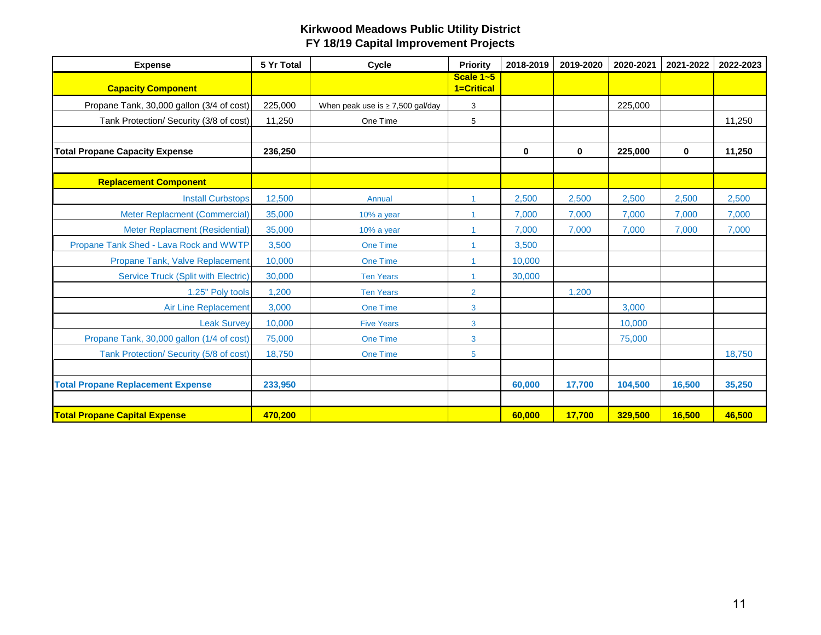| <b>Expense</b>                             | 5 Yr Total | Cycle                                 | <b>Priority</b>         | 2018-2019   | 2019-2020   | 2020-2021 | 2021-2022   | 2022-2023 |
|--------------------------------------------|------------|---------------------------------------|-------------------------|-------------|-------------|-----------|-------------|-----------|
| <b>Capacity Component</b>                  |            |                                       | Scale 1~5<br>1=Critical |             |             |           |             |           |
| Propane Tank, 30,000 gallon (3/4 of cost)  | 225,000    | When peak use is $\geq$ 7,500 gal/day | 3                       |             |             | 225,000   |             |           |
| Tank Protection/ Security (3/8 of cost)    | 11,250     | One Time                              | 5                       |             |             |           |             | 11,250    |
|                                            |            |                                       |                         |             |             |           |             |           |
| <b>Total Propane Capacity Expense</b>      | 236,250    |                                       |                         | $\mathbf 0$ | $\mathbf 0$ | 225,000   | $\mathbf 0$ | 11,250    |
|                                            |            |                                       |                         |             |             |           |             |           |
| <b>Replacement Component</b>               |            |                                       |                         |             |             |           |             |           |
| <b>Install Curbstops</b>                   | 12,500     | Annual                                | 1                       | 2,500       | 2,500       | 2,500     | 2,500       | 2,500     |
| Meter Replacment (Commercial)              | 35,000     | 10% a year                            | 1                       | 7,000       | 7,000       | 7,000     | 7,000       | 7,000     |
| Meter Replacment (Residential)             | 35,000     | 10% a year                            | 4                       | 7,000       | 7,000       | 7,000     | 7,000       | 7,000     |
| Propane Tank Shed - Lava Rock and WWTP     | 3.500      | <b>One Time</b>                       |                         | 3,500       |             |           |             |           |
| Propane Tank, Valve Replacement            | 10,000     | <b>One Time</b>                       |                         | 10,000      |             |           |             |           |
| <b>Service Truck (Split with Electric)</b> | 30,000     | <b>Ten Years</b>                      | 1                       | 30,000      |             |           |             |           |
| 1.25" Poly tools                           | 1,200      | <b>Ten Years</b>                      | $\overline{2}$          |             | 1,200       |           |             |           |
| <b>Air Line Replacement</b>                | 3,000      | <b>One Time</b>                       | 3                       |             |             | 3,000     |             |           |
| <b>Leak Survey</b>                         | 10,000     | <b>Five Years</b>                     | 3                       |             |             | 10,000    |             |           |
| Propane Tank, 30,000 gallon (1/4 of cost)  | 75,000     | <b>One Time</b>                       | 3                       |             |             | 75,000    |             |           |
| Tank Protection/ Security (5/8 of cost)    | 18,750     | <b>One Time</b>                       | 5                       |             |             |           |             | 18,750    |
|                                            |            |                                       |                         |             |             |           |             |           |
| <b>Total Propane Replacement Expense</b>   | 233,950    |                                       |                         | 60,000      | 17,700      | 104,500   | 16,500      | 35,250    |
|                                            |            |                                       |                         |             |             |           |             |           |
| <b>Total Propane Capital Expense</b>       | 470,200    |                                       |                         | 60,000      | 17,700      | 329,500   | 16,500      | 46,500    |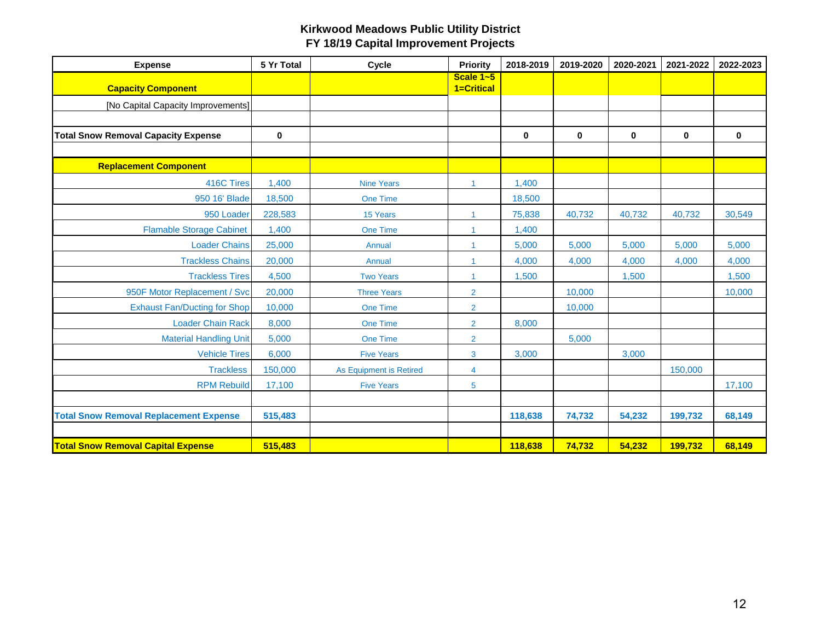| <b>Expense</b>                                | 5 Yr Total  | Cycle                   | <b>Priority</b>         | 2018-2019 | 2019-2020   | 2020-2021   | 2021-2022   | 2022-2023   |
|-----------------------------------------------|-------------|-------------------------|-------------------------|-----------|-------------|-------------|-------------|-------------|
| <b>Capacity Component</b>                     |             |                         | Scale 1~5<br>1=Critical |           |             |             |             |             |
| [No Capital Capacity Improvements]            |             |                         |                         |           |             |             |             |             |
|                                               |             |                         |                         |           |             |             |             |             |
| <b>Total Snow Removal Capacity Expense</b>    | $\mathbf 0$ |                         |                         | $\bf{0}$  | $\mathbf 0$ | $\mathbf 0$ | $\mathbf 0$ | $\mathbf 0$ |
|                                               |             |                         |                         |           |             |             |             |             |
| <b>Replacement Component</b>                  |             |                         |                         |           |             |             |             |             |
| 416C Tires                                    | 1,400       | <b>Nine Years</b>       | $\mathbf{1}$            | 1,400     |             |             |             |             |
| 950 16' Blade                                 | 18,500      | <b>One Time</b>         |                         | 18,500    |             |             |             |             |
| 950 Loader                                    | 228,583     | 15 Years                | $\blacktriangleleft$    | 75,838    | 40,732      | 40,732      | 40,732      | 30,549      |
| <b>Flamable Storage Cabinet</b>               | 1,400       | One Time                |                         | 1,400     |             |             |             |             |
| <b>Loader Chains</b>                          | 25,000      | Annual                  |                         | 5,000     | 5,000       | 5,000       | 5,000       | 5,000       |
| <b>Trackless Chains</b>                       | 20,000      | Annual                  | -1                      | 4,000     | 4,000       | 4,000       | 4,000       | 4,000       |
| <b>Trackless Tires</b>                        | 4,500       | <b>Two Years</b>        | $\blacktriangleleft$    | 1,500     |             | 1,500       |             | 1,500       |
| 950F Motor Replacement / Svc                  | 20,000      | <b>Three Years</b>      | $\overline{2}$          |           | 10,000      |             |             | 10,000      |
| <b>Exhaust Fan/Ducting for Shop</b>           | 10,000      | <b>One Time</b>         | $\overline{2}$          |           | 10,000      |             |             |             |
| <b>Loader Chain Rack</b>                      | 8,000       | <b>One Time</b>         | $\overline{2}$          | 8,000     |             |             |             |             |
| <b>Material Handling Unit</b>                 | 5,000       | <b>One Time</b>         | $\overline{2}$          |           | 5,000       |             |             |             |
| <b>Vehicle Tires</b>                          | 6,000       | <b>Five Years</b>       | 3                       | 3,000     |             | 3,000       |             |             |
| <b>Trackless</b>                              | 150,000     | As Equipment is Retired | 4                       |           |             |             | 150,000     |             |
| <b>RPM Rebuild</b>                            | 17,100      | <b>Five Years</b>       | 5                       |           |             |             |             | 17,100      |
|                                               |             |                         |                         |           |             |             |             |             |
| <b>Total Snow Removal Replacement Expense</b> | 515,483     |                         |                         | 118,638   | 74,732      | 54,232      | 199,732     | 68,149      |
|                                               |             |                         |                         |           |             |             |             |             |
| <b>Total Snow Removal Capital Expense</b>     | 515.483     |                         |                         | 118,638   | 74,732      | 54.232      | 199,732     | 68,149      |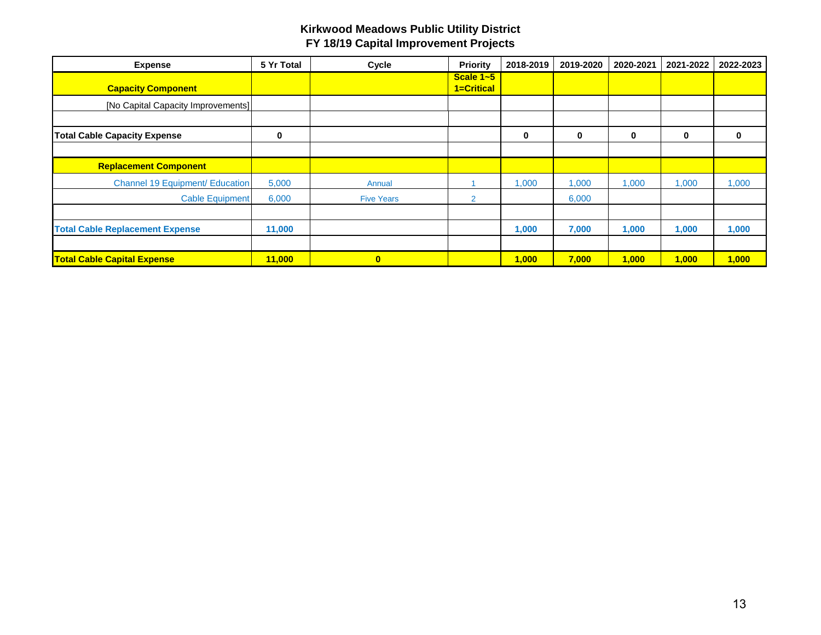| <b>Expense</b>                         | 5 Yr Total | Cycle             | Priority                | 2018-2019 | 2019-2020 | 2020-2021 | 2021-2022 | 2022-2023 |
|----------------------------------------|------------|-------------------|-------------------------|-----------|-----------|-----------|-----------|-----------|
| <b>Capacity Component</b>              |            |                   | Scale 1~5<br>1=Critical |           |           |           |           |           |
| [No Capital Capacity Improvements]]    |            |                   |                         |           |           |           |           |           |
|                                        |            |                   |                         |           |           |           |           |           |
| <b>Total Cable Capacity Expense</b>    | 0          |                   |                         | 0         | $\bf{0}$  | 0         | 0         | 0         |
|                                        |            |                   |                         |           |           |           |           |           |
| <b>Replacement Component</b>           |            |                   |                         |           |           |           |           |           |
| <b>Channel 19 Equipment/ Education</b> | 5,000      | Annual            |                         | 1,000     | 1,000     | 1,000     | 1,000     | 1,000     |
| <b>Cable Equipment</b>                 | 6,000      | <b>Five Years</b> | $\overline{2}$          |           | 6,000     |           |           |           |
|                                        |            |                   |                         |           |           |           |           |           |
| <b>Total Cable Replacement Expense</b> | 11,000     |                   |                         | 1,000     | 7,000     | 1,000     | 1,000     | 1,000     |
|                                        |            |                   |                         |           |           |           |           |           |
| <b>Total Cable Capital Expense</b>     | 11,000     | $\bf{0}$          |                         | 1,000     | 7,000     | 1,000     | 1,000     | 1,000     |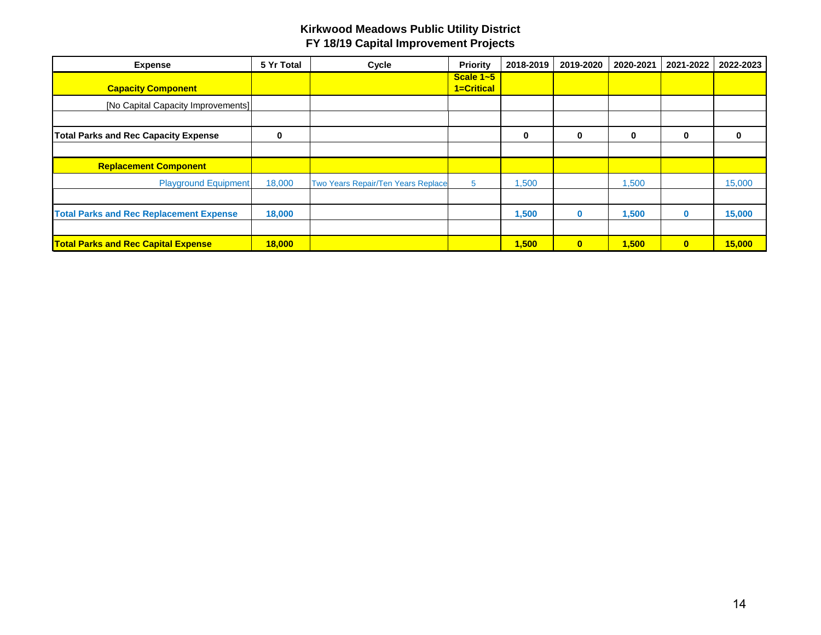| <b>Expense</b>                                 | 5 Yr Total | Cycle                              | Priority                    | 2018-2019 | 2019-2020    | 2020-2021 | 2021-2022    | 2022-2023 |
|------------------------------------------------|------------|------------------------------------|-----------------------------|-----------|--------------|-----------|--------------|-----------|
| <b>Capacity Component</b>                      |            |                                    | Scale $1 - 5$<br>1=Critical |           |              |           |              |           |
| [No Capital Capacity Improvements]]            |            |                                    |                             |           |              |           |              |           |
|                                                |            |                                    |                             |           |              |           |              |           |
| <b>Total Parks and Rec Capacity Expense</b>    | 0          |                                    |                             | 0         | $\bf{0}$     | 0         | 0            | 0         |
|                                                |            |                                    |                             |           |              |           |              |           |
| <b>Replacement Component</b>                   |            |                                    |                             |           |              |           |              |           |
| <b>Playground Equipment</b>                    | 18,000     | Two Years Repair/Ten Years Replace | 5                           | 1,500     |              | 1,500     |              | 15,000    |
|                                                |            |                                    |                             |           |              |           |              |           |
| <b>Total Parks and Rec Replacement Expense</b> | 18,000     |                                    |                             | 1,500     | $\bf{0}$     | 1,500     | $\bf{0}$     | 15,000    |
|                                                |            |                                    |                             |           |              |           |              |           |
| <b>Total Parks and Rec Capital Expense</b>     | 18,000     |                                    |                             | 1,500     | $\mathbf{0}$ | 1,500     | $\mathbf{0}$ | 15,000    |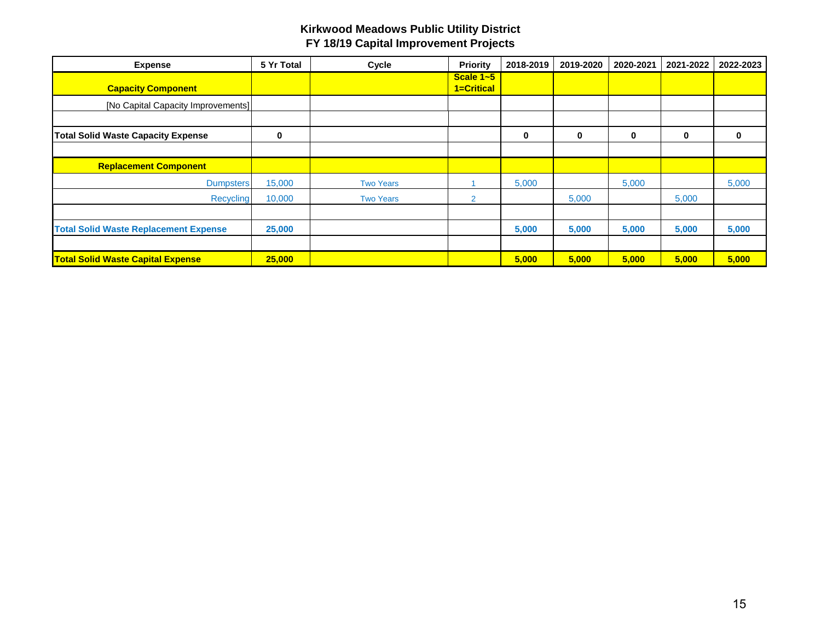| <b>Expense</b>                               | 5 Yr Total | Cycle            | Priority                | 2018-2019 | 2019-2020 | 2020-2021 | 2021-2022 | 2022-2023 |
|----------------------------------------------|------------|------------------|-------------------------|-----------|-----------|-----------|-----------|-----------|
| <b>Capacity Component</b>                    |            |                  | Scale 1~5<br>1=Critical |           |           |           |           |           |
| [No Capital Capacity Improvements]           |            |                  |                         |           |           |           |           |           |
|                                              |            |                  |                         |           |           |           |           |           |
| <b>Total Solid Waste Capacity Expense</b>    | $\bf{0}$   |                  |                         | 0         | $\bf{0}$  | 0         | $\bf{0}$  | 0         |
|                                              |            |                  |                         |           |           |           |           |           |
| <b>Replacement Component</b>                 |            |                  |                         |           |           |           |           |           |
| <b>Dumpsters</b>                             | 15,000     | <b>Two Years</b> |                         | 5,000     |           | 5,000     |           | 5,000     |
| Recycling                                    | 10,000     | <b>Two Years</b> | $\overline{2}$          |           | 5,000     |           | 5,000     |           |
|                                              |            |                  |                         |           |           |           |           |           |
| <b>Total Solid Waste Replacement Expense</b> | 25,000     |                  |                         | 5,000     | 5,000     | 5,000     | 5,000     | 5,000     |
|                                              |            |                  |                         |           |           |           |           |           |
| <b>Total Solid Waste Capital Expense</b>     | 25,000     |                  |                         | 5,000     | 5,000     | 5,000     | 5,000     | 5,000     |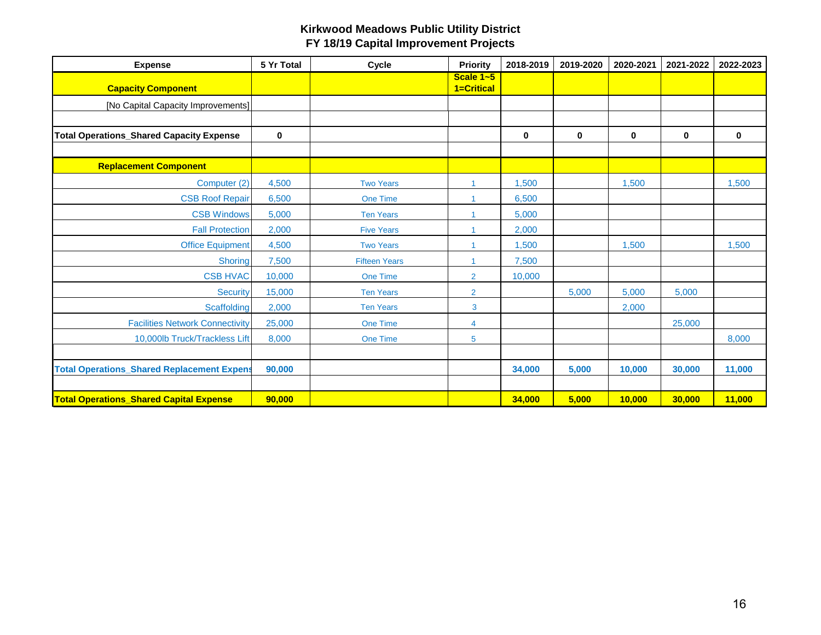| <b>Expense</b>                                    | 5 Yr Total  | Cycle                | <b>Priority</b>         | 2018-2019   | 2019-2020 | 2020-2021   | 2021-2022 | 2022-2023 |
|---------------------------------------------------|-------------|----------------------|-------------------------|-------------|-----------|-------------|-----------|-----------|
| <b>Capacity Component</b>                         |             |                      | Scale 1~5<br>1=Critical |             |           |             |           |           |
| [No Capital Capacity Improvements]                |             |                      |                         |             |           |             |           |           |
|                                                   |             |                      |                         |             |           |             |           |           |
| <b>Total Operations_Shared Capacity Expense</b>   | $\mathbf 0$ |                      |                         | $\mathbf 0$ | 0         | $\mathbf 0$ | $\bf{0}$  | $\bf{0}$  |
|                                                   |             |                      |                         |             |           |             |           |           |
| <b>Replacement Component</b>                      |             |                      |                         |             |           |             |           |           |
| Computer (2)                                      | 4,500       | <b>Two Years</b>     | 1                       | 1,500       |           | 1,500       |           | 1,500     |
| <b>CSB Roof Repair</b>                            | 6,500       | <b>One Time</b>      |                         | 6,500       |           |             |           |           |
| <b>CSB Windows</b>                                | 5.000       | <b>Ten Years</b>     |                         | 5,000       |           |             |           |           |
| <b>Fall Protection</b>                            | 2,000       | <b>Five Years</b>    |                         | 2,000       |           |             |           |           |
| <b>Office Equipment</b>                           | 4,500       | <b>Two Years</b>     |                         | 1,500       |           | 1,500       |           | 1,500     |
| Shoring                                           | 7,500       | <b>Fifteen Years</b> |                         | 7,500       |           |             |           |           |
| <b>CSB HVAC</b>                                   | 10,000      | <b>One Time</b>      | $\overline{2}$          | 10,000      |           |             |           |           |
| <b>Security</b>                                   | 15,000      | <b>Ten Years</b>     | $\overline{2}$          |             | 5,000     | 5,000       | 5,000     |           |
| Scaffolding                                       | 2,000       | <b>Ten Years</b>     | $\mathbf{3}$            |             |           | 2,000       |           |           |
| <b>Facilities Network Connectivity</b>            | 25,000      | <b>One Time</b>      | 4                       |             |           |             | 25,000    |           |
| 10,000lb Truck/Trackless Lift                     | 8,000       | <b>One Time</b>      | 5                       |             |           |             |           | 8,000     |
|                                                   |             |                      |                         |             |           |             |           |           |
| <b>Total Operations_Shared Replacement Expens</b> | 90,000      |                      |                         | 34,000      | 5,000     | 10,000      | 30,000    | 11,000    |
|                                                   |             |                      |                         |             |           |             |           |           |
| <b>Total Operations Shared Capital Expense</b>    | 90,000      |                      |                         | 34,000      | 5,000     | 10,000      | 30,000    | 11,000    |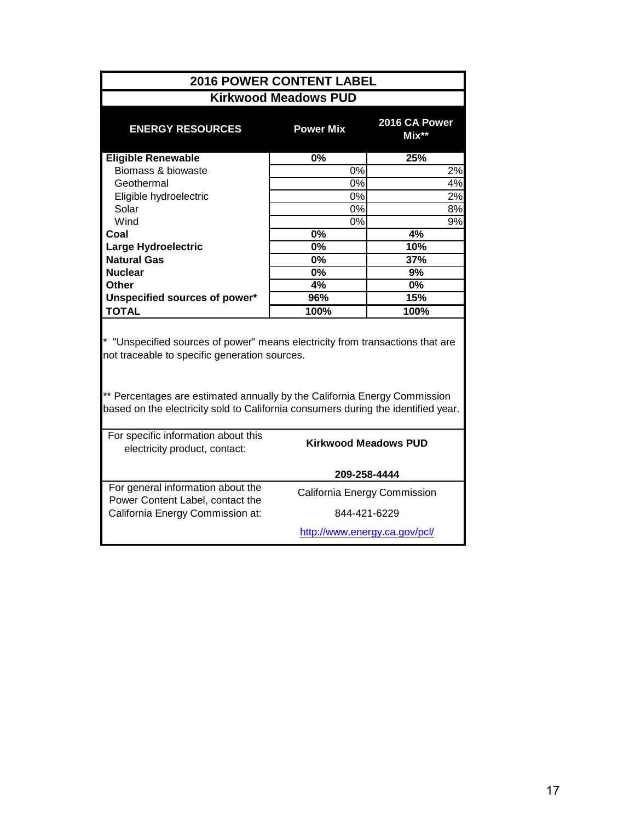| <b>2016 POWER CONTENT LABEL</b>                                                                                                                                                                                                                                                                  |                              |                          |  |  |  |  |  |  |  |
|--------------------------------------------------------------------------------------------------------------------------------------------------------------------------------------------------------------------------------------------------------------------------------------------------|------------------------------|--------------------------|--|--|--|--|--|--|--|
| <b>Kirkwood Meadows PUD</b>                                                                                                                                                                                                                                                                      |                              |                          |  |  |  |  |  |  |  |
| <b>ENERGY RESOURCES</b>                                                                                                                                                                                                                                                                          | <b>Power Mix</b>             | 2016 CA Power<br>$Mix**$ |  |  |  |  |  |  |  |
| <b>Eligible Renewable</b>                                                                                                                                                                                                                                                                        | $\overline{0\%}$             | 25%                      |  |  |  |  |  |  |  |
| Biomass & biowaste                                                                                                                                                                                                                                                                               | 0%                           | 2%                       |  |  |  |  |  |  |  |
| Geothermal                                                                                                                                                                                                                                                                                       | $\overline{0\%}$             | 4%                       |  |  |  |  |  |  |  |
| Eligible hydroelectric                                                                                                                                                                                                                                                                           | $0\%$                        | 2%                       |  |  |  |  |  |  |  |
| Solar                                                                                                                                                                                                                                                                                            | 0%                           | 8%                       |  |  |  |  |  |  |  |
| Wind                                                                                                                                                                                                                                                                                             | 0%                           | $\overline{9\%}$         |  |  |  |  |  |  |  |
| Coal                                                                                                                                                                                                                                                                                             | 0%                           | 4%                       |  |  |  |  |  |  |  |
| <b>Large Hydroelectric</b>                                                                                                                                                                                                                                                                       | 0%                           | $\overline{1}0%$         |  |  |  |  |  |  |  |
| <b>Natural Gas</b>                                                                                                                                                                                                                                                                               | $\overline{0\%}$             | 37%                      |  |  |  |  |  |  |  |
| <b>Nuclear</b>                                                                                                                                                                                                                                                                                   | 0%                           | 9%                       |  |  |  |  |  |  |  |
| <b>Other</b>                                                                                                                                                                                                                                                                                     | 4%<br>96%                    | 0%                       |  |  |  |  |  |  |  |
| Unspecified sources of power*<br><b>TOTAL</b>                                                                                                                                                                                                                                                    | 100%                         | 15%<br>100%              |  |  |  |  |  |  |  |
| * "Unspecified sources of power" means electricity from transactions that are<br>not traceable to specific generation sources.<br>** Percentages are estimated annually by the California Energy Commission<br>based on the electricity sold to California consumers during the identified year. |                              |                          |  |  |  |  |  |  |  |
| For specific information about this<br><b>Kirkwood Meadows PUD</b><br>electricity product, contact:                                                                                                                                                                                              |                              |                          |  |  |  |  |  |  |  |
|                                                                                                                                                                                                                                                                                                  | 209-258-4444                 |                          |  |  |  |  |  |  |  |
| For general information about the<br>Power Content Label, contact the                                                                                                                                                                                                                            | California Energy Commission |                          |  |  |  |  |  |  |  |
| California Energy Commission at:                                                                                                                                                                                                                                                                 |                              | 844-421-6229             |  |  |  |  |  |  |  |
| http://www.energy.ca.gov/pcl/                                                                                                                                                                                                                                                                    |                              |                          |  |  |  |  |  |  |  |